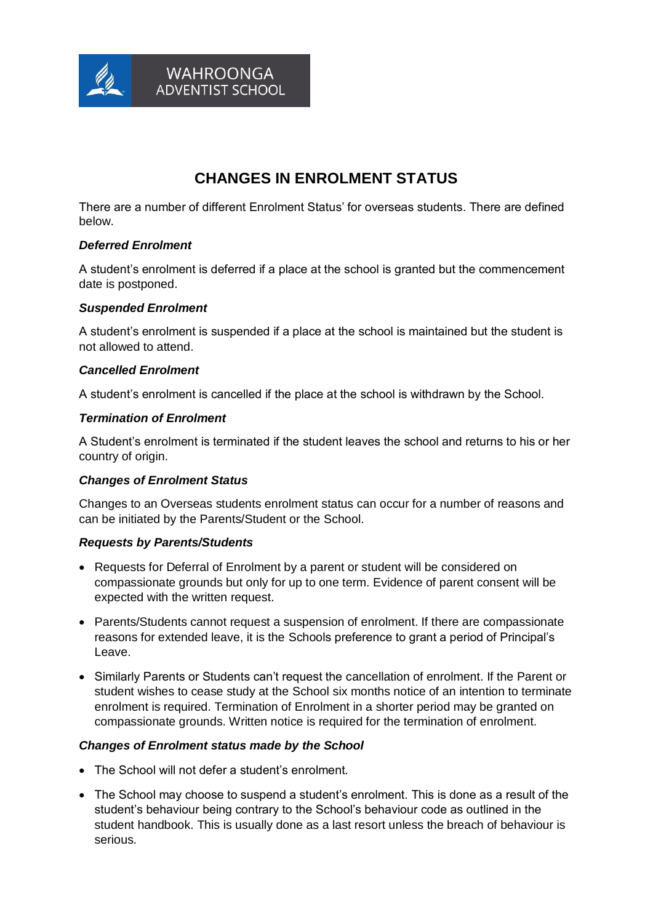

**WAHROONGA ADVENTIST SCHOOL** 

# **CHANGES IN ENROLMENT STATUS**

There are a number of different Enrolment Status' for overseas students. There are defined below.

# *Deferred Enrolment*

A student's enrolment is deferred if a place at the school is granted but the commencement date is postponed.

## *Suspended Enrolment*

A student's enrolment is suspended if a place at the school is maintained but the student is not allowed to attend.

## *Cancelled Enrolment*

A student's enrolment is cancelled if the place at the school is withdrawn by the School.

#### *Termination of Enrolment*

A Student's enrolment is terminated if the student leaves the school and returns to his or her country of origin.

#### *Changes of Enrolment Status*

Changes to an Overseas students enrolment status can occur for a number of reasons and can be initiated by the Parents/Student or the School.

#### *Requests by Parents/Students*

- Requests for Deferral of Enrolment by a parent or student will be considered on compassionate grounds but only for up to one term. Evidence of parent consent will be expected with the written request.
- Parents/Students cannot request a suspension of enrolment. If there are compassionate reasons for extended leave, it is the Schools preference to grant a period of Principal's Leave.
- Similarly Parents or Students can't request the cancellation of enrolment. If the Parent or student wishes to cease study at the School six months notice of an intention to terminate enrolment is required. Termination of Enrolment in a shorter period may be granted on compassionate grounds. Written notice is required for the termination of enrolment.

## *Changes of Enrolment status made by the School*

- The School will not defer a student's enrolment.
- The School may choose to suspend a student's enrolment. This is done as a result of the student's behaviour being contrary to the School's behaviour code as outlined in the student handbook. This is usually done as a last resort unless the breach of behaviour is serious.